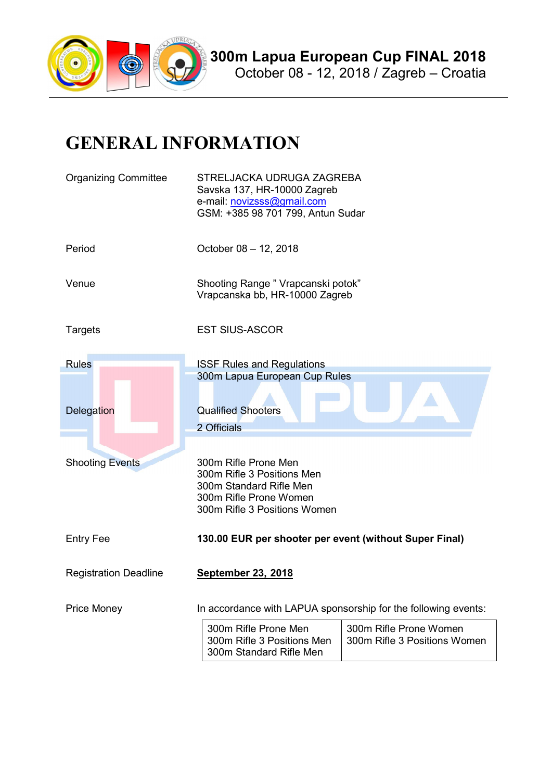

## GENERAL INFORMATION

| <b>Organizing Committee</b>  | STRELJACKA UDRUGA ZAGREBA<br>Savska 137, HR-10000 Zagreb<br>e-mail: novizsss@gmail.com<br>GSM: +385 98 701 799, Antun Sudar             |                                                        |  |
|------------------------------|-----------------------------------------------------------------------------------------------------------------------------------------|--------------------------------------------------------|--|
| Period                       | October 08 - 12, 2018                                                                                                                   |                                                        |  |
| Venue                        | Shooting Range " Vrapcanski potok"<br>Vrapcanska bb, HR-10000 Zagreb                                                                    |                                                        |  |
| Targets                      | <b>EST SIUS-ASCOR</b>                                                                                                                   |                                                        |  |
| <b>Rules</b>                 | <b>ISSF Rules and Regulations</b>                                                                                                       |                                                        |  |
| Delegation                   | 300m Lapua European Cup Rules<br><b>Qualified Shooters</b><br>2 Officials                                                               |                                                        |  |
| <b>Shooting Events</b>       | 300m Rifle Prone Men<br>300m Rifle 3 Positions Men<br>300m Standard Rifle Men<br>300m Rifle Prone Women<br>300m Rifle 3 Positions Women |                                                        |  |
| <b>Entry Fee</b>             | 130.00 EUR per shooter per event (without Super Final)                                                                                  |                                                        |  |
| <b>Registration Deadline</b> | <b>September 23, 2018</b>                                                                                                               |                                                        |  |
| <b>Price Money</b>           | In accordance with LAPUA sponsorship for the following events:                                                                          |                                                        |  |
|                              | 300m Rifle Prone Men<br>300m Rifle 3 Positions Men<br>300m Standard Rifle Men                                                           | 300m Rifle Prone Women<br>300m Rifle 3 Positions Women |  |